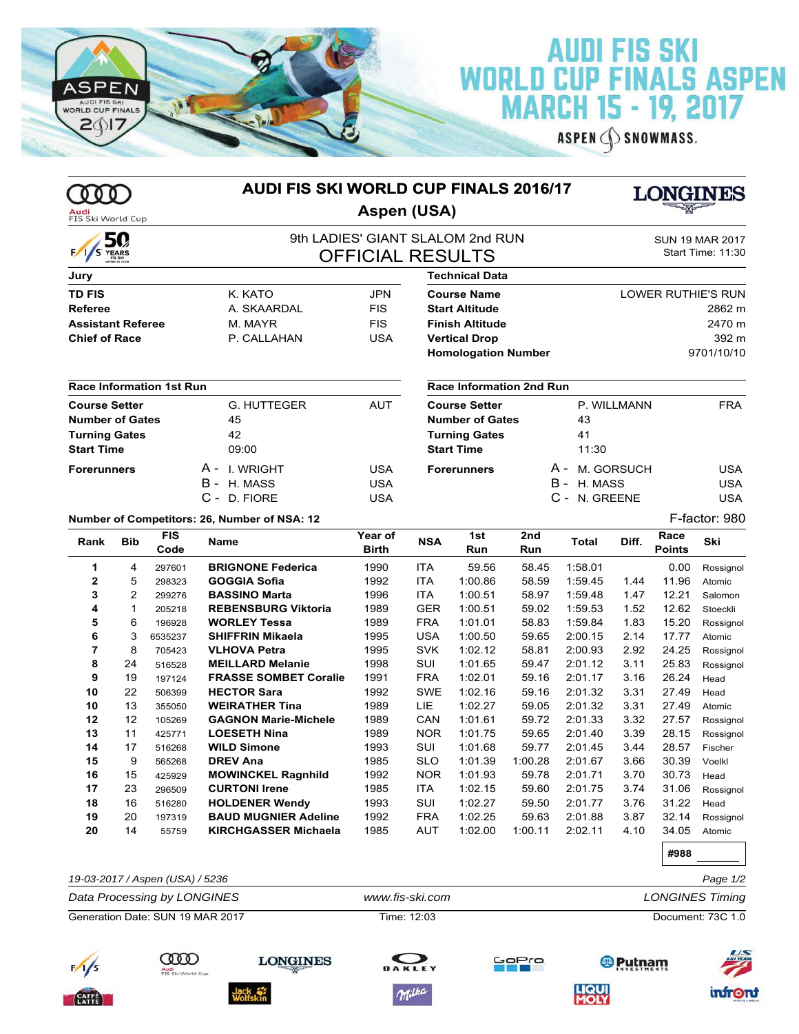

 $\infty$ Audi<br>FIS Ski

## **AUDI FIS SKI<br>WORLD CUP FINALS ASPEN<br>MARCH 15 - 19, 2017**

ASPEN SNOWMASS.

|                                                                                             |                |                                 | AUDI FIS SKI WORLD CUP FINALS 2016/17                |                                                             |                                                                                             |                                 |                |                    | <b>LONGINES</b>                             |                       |                     |  |
|---------------------------------------------------------------------------------------------|----------------|---------------------------------|------------------------------------------------------|-------------------------------------------------------------|---------------------------------------------------------------------------------------------|---------------------------------|----------------|--------------------|---------------------------------------------|-----------------------|---------------------|--|
| Audi<br>FIS Ski World Cup                                                                   |                |                                 | Aspen (USA)                                          |                                                             |                                                                                             |                                 |                |                    |                                             |                       |                     |  |
| S YEARS                                                                                     | 50             |                                 |                                                      | 9th LADIES' GIANT SLALOM 2nd RUN<br><b>OFFICIAL RESULTS</b> |                                                                                             |                                 |                |                    | <b>SUN 19 MAR 2017</b><br>Start Time: 11:30 |                       |                     |  |
| Jury                                                                                        |                |                                 |                                                      |                                                             |                                                                                             | Technical Data                  |                |                    |                                             |                       |                     |  |
| TD FIS                                                                                      |                |                                 | K. KATO                                              | <b>JPN</b>                                                  |                                                                                             | <b>Course Name</b>              |                |                    |                                             |                       | LOWER RUTHIE'S RUN  |  |
| <b>Referee</b>                                                                              |                |                                 | A. SKAARDAL                                          | <b>FIS</b>                                                  |                                                                                             | <b>Start Altitude</b>           |                |                    |                                             |                       | 2862 m              |  |
| <b>Assistant Referee</b>                                                                    |                |                                 | M. MAYR                                              | <b>FIS</b>                                                  |                                                                                             | <b>Finish Altitude</b>          |                |                    |                                             |                       | 2470 m              |  |
| <b>Chief of Race</b>                                                                        |                |                                 | P. CALLAHAN                                          | <b>USA</b>                                                  | <b>Vertical Drop</b><br><b>Homologation Number</b>                                          |                                 |                |                    |                                             |                       | 392 m<br>9701/10/10 |  |
|                                                                                             |                | <b>Race Information 1st Run</b> |                                                      |                                                             |                                                                                             | <b>Race Information 2nd Run</b> |                |                    |                                             |                       |                     |  |
| <b>Course Setter</b><br><b>Number of Gates</b><br><b>Turning Gates</b><br><b>Start Time</b> |                |                                 | <b>G. HUTTEGER</b><br>45<br>42<br>09:00              | <b>AUT</b>                                                  | <b>Course Setter</b><br><b>Number of Gates</b><br><b>Turning Gates</b><br><b>Start Time</b> |                                 |                | 43<br>41<br>11:30  | P. WILLMANN                                 |                       | <b>FRA</b>          |  |
| <b>Forerunners</b>                                                                          |                |                                 | A - I WRIGHT                                         | <b>USA</b>                                                  |                                                                                             | <b>Forerunners</b>              |                | A -                | M. GORSUCH                                  |                       | <b>USA</b>          |  |
|                                                                                             |                |                                 | B - H. MASS                                          | <b>USA</b>                                                  |                                                                                             |                                 |                | B -<br>H. MASS     |                                             |                       | <b>USA</b>          |  |
|                                                                                             |                |                                 | C - D. FIORE                                         | <b>USA</b>                                                  |                                                                                             |                                 |                | C - N. GREENE      |                                             |                       | <b>USA</b>          |  |
|                                                                                             |                |                                 | Number of Competitors: 26, Number of NSA: 12         |                                                             |                                                                                             |                                 |                |                    |                                             |                       | F-factor: 980       |  |
| Rank                                                                                        | <b>Bib</b>     | <b>FIS</b><br>Code              | Name                                                 | Year of<br><b>Birth</b>                                     | <b>NSA</b>                                                                                  | 1st<br>Run                      | 2nd<br>Run     | <b>Total</b>       | Diff.                                       | Race<br><b>Points</b> | Ski                 |  |
| 1                                                                                           | 4              | 297601                          | <b>BRIGNONE Federica</b>                             | 1990                                                        | <b>ITA</b>                                                                                  | 59.56                           | 58.45          | 1:58.01            |                                             | 0.00                  | Rossignol           |  |
| $\overline{2}$                                                                              | 5              | 298323                          | <b>GOGGIA Sofia</b>                                  | 1992                                                        | <b>ITA</b>                                                                                  | 1:00.86                         | 58.59          | 1:59.45            | 1.44                                        | 11.96                 | Atomic              |  |
| 3                                                                                           | $\overline{2}$ | 299276                          | <b>BASSINO Marta</b>                                 | 1996                                                        | <b>ITA</b>                                                                                  | 1:00.51                         | 58.97          | 1:59.48            | 1.47                                        | 12.21                 | Salomon             |  |
| 4                                                                                           | $\mathbf{1}$   | 205218                          | <b>REBENSBURG Viktoria</b>                           | 1989                                                        | <b>GER</b>                                                                                  | 1:00.51                         | 59.02          | 1:59.53            | 1.52                                        | 12.62                 | Stoeckli            |  |
| 5                                                                                           | 6<br>3         | 196928                          | <b>WORLEY Tessa</b>                                  | 1989                                                        | <b>FRA</b>                                                                                  | 1:01.01                         | 58.83          | 1:59.84            | 1.83                                        | 15.20                 | Rossignol           |  |
| 6<br>7                                                                                      | 8              | 6535237<br>705423               | <b>SHIFFRIN Mikaela</b><br><b>VLHOVA Petra</b>       | 1995<br>1995                                                | <b>USA</b><br><b>SVK</b>                                                                    | 1:00.50<br>1:02.12              | 59.65<br>58.81 | 2:00.15<br>2:00.93 | 2.14<br>2.92                                | 17.77<br>24.25        | Atomic<br>Rossignol |  |
| 8                                                                                           | 24             | 516528                          | <b>MEILLARD Melanie</b>                              | 1998                                                        | <b>SUI</b>                                                                                  | 1:01.65                         | 59.47          | 2:01.12            | 3.11                                        | 25.83                 | Rossignol           |  |
| 9                                                                                           | 19             | 197124                          | <b>FRASSE SOMBET Coralie</b>                         | 1991                                                        | <b>FRA</b>                                                                                  | 1:02.01                         | 59.16          | 2:01.17            | 3.16                                        | 26.24                 | Head                |  |
| 10                                                                                          | 22             | 506399                          | <b>HECTOR Sara</b>                                   | 1992                                                        | <b>SWE</b>                                                                                  | 1:02.16                         | 59.16          | 2:01.32            | 3.31                                        | 27.49                 | Head                |  |
| 10                                                                                          | 13             | 355050                          | <b>WEIRATHER Tina</b>                                | 1989                                                        | LIE                                                                                         | 1:02.27                         | 59.05          | 2:01.32            | 3.31                                        | 27.49                 | Atomic              |  |
| 12                                                                                          | 12             | 105269                          | <b>GAGNON Marie-Michele</b>                          | 1989                                                        | CAN                                                                                         | 1:01.61                         | 59.72          | 2:01.33            | 3.32                                        | 27.57                 | Rossignol           |  |
| 13                                                                                          | 11             | 425771                          | <b>LOESETH Nina</b>                                  | 1989                                                        | <b>NOR</b>                                                                                  | 1:01.75                         | 59.65          | 2:01.40            | 3.39                                        | 28.15                 | Rossignol           |  |
| 14                                                                                          | 17             | 516268                          | <b>WILD Simone</b>                                   | 1993                                                        | SUI                                                                                         | 1:01.68                         | 59.77          | 2:01.45            | 3.44                                        | 28.57                 | Fischer             |  |
| 15                                                                                          | 9              | 565268                          | <b>DREV Ana</b>                                      | 1985                                                        | <b>SLO</b>                                                                                  | 1:01.39                         | 1:00.28        | 2:01.67            | 3.66                                        | 30.39                 | Voelkl              |  |
| 16                                                                                          | 15             | 425929                          | <b>MOWINCKEL Ragnhild</b>                            | 1992                                                        | <b>NOR</b>                                                                                  | 1:01.93                         | 59.78          | 2:01.71            | 3.70                                        | 30.73                 | Head                |  |
| 17<br>18                                                                                    | 23<br>16       | 296509                          | <b>CURTONI Irene</b>                                 | 1985<br>1993                                                | <b>ITA</b><br>SUI                                                                           | 1:02.15                         | 59.60<br>59.50 | 2:01.75<br>2:01.77 | 3.74<br>3.76                                | 31.06<br>31.22        | Rossignol           |  |
| 19                                                                                          | 20             | 516280<br>197319                | <b>HOLDENER Wendy</b><br><b>BAUD MUGNIER Adeline</b> | 1992                                                        | <b>FRA</b>                                                                                  | 1:02.27<br>1:02.25              | 59.63          | 2:01.88            | 3.87                                        | 32.14                 | Head<br>Rossignol   |  |
| 20                                                                                          | 14             | 55759                           | <b>KIRCHGASSER Michaela</b>                          | 1985                                                        | AUT                                                                                         | 1:02.00                         | 1:00.11        | 2:02.11            | 4.10                                        | 34.05                 | Atomic              |  |

| 19-03-2017 / Aspen (USA) / 5236<br>Page 1/2 |                                  |                 |                 |                        |                                  |                   |  |  |
|---------------------------------------------|----------------------------------|-----------------|-----------------|------------------------|----------------------------------|-------------------|--|--|
|                                             | Data Processing by LONGINES      |                 | www.fis-ski.com | <b>LONGINES Timing</b> |                                  |                   |  |  |
|                                             | Generation Date: SUN 19 MAR 2017 |                 | Time: 12:03     |                        | Document: 73C 1.0                |                   |  |  |
|                                             | 000                              | <b>LONGINES</b> |                 | GoPro                  | <b><i><sup>®</sup>Putnam</i></b> | II<br>$rac{1}{2}$ |  |  |









**LIQUI**<br>MOLY



#988